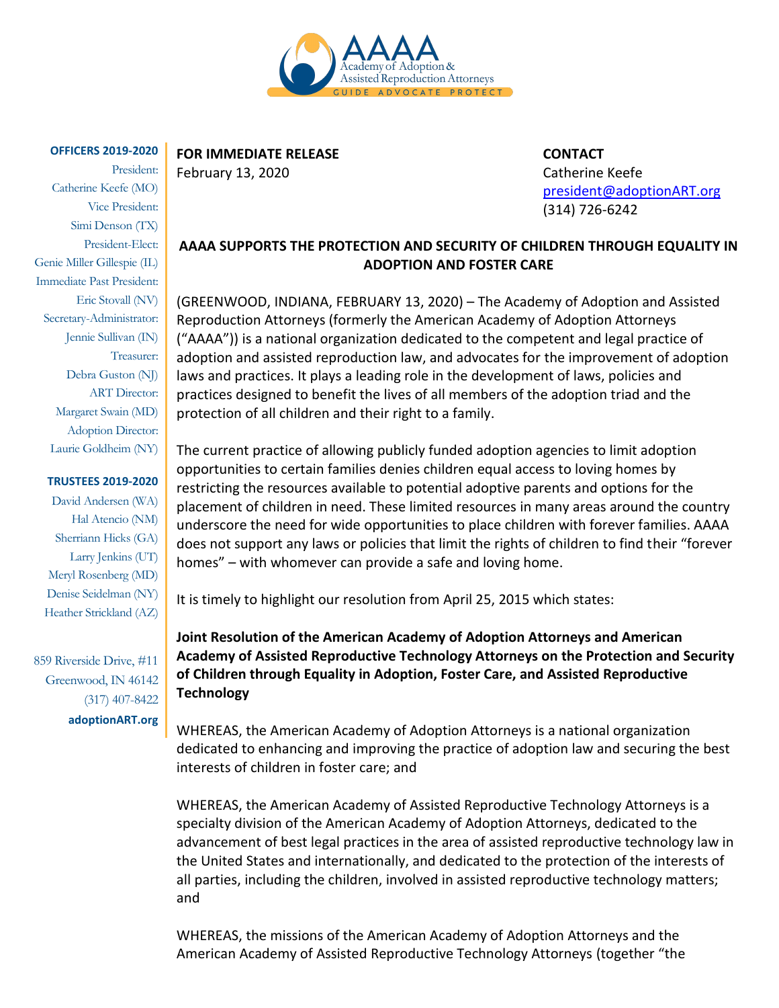

#### **OFFICERS 2019-2020**

President: Catherine Keefe (MO) Vice President: Simi Denson (TX) President-Elect: Genie Miller Gillespie (IL) Immediate Past President: Eric Stovall (NV) Secretary-Administrator: Jennie Sullivan (IN) Treasurer: Debra Guston (NJ) ART Director: Margaret Swain (MD) Adoption Director: Laurie Goldheim (NY)

### **TRUSTEES 2019-2020**

David Andersen (WA) Hal Atencio (NM) Sherriann Hicks (GA) Larry Jenkins (UT) Meryl Rosenberg (MD) Denise Seidelman (NY) Heather Strickland (AZ)

859 Riverside Drive, #11 Greenwood, IN 46142 (317) 407-8422 **adoptionART.org**

# **FOR IMMEDIATE RELEASE CONTACT**

February 13, 2020 **Catherine** Keefe

[president@adoptionART.org](mailto:president@adoptionART.org) (314) 726-6242

## **AAAA SUPPORTS THE PROTECTION AND SECURITY OF CHILDREN THROUGH EQUALITY IN ADOPTION AND FOSTER CARE**

(GREENWOOD, INDIANA, FEBRUARY 13, 2020) – The Academy of Adoption and Assisted Reproduction Attorneys (formerly the American Academy of Adoption Attorneys ("AAAA")) is a national organization dedicated to the competent and legal practice of adoption and assisted reproduction law, and advocates for the improvement of adoption laws and practices. It plays a leading role in the development of laws, policies and practices designed to benefit the lives of all members of the adoption triad and the protection of all children and their right to a family.

The current practice of allowing publicly funded adoption agencies to limit adoption opportunities to certain families denies children equal access to loving homes by restricting the resources available to potential adoptive parents and options for the placement of children in need. These limited resources in many areas around the country underscore the need for wide opportunities to place children with forever families. AAAA does not support any laws or policies that limit the rights of children to find their "forever homes" – with whomever can provide a safe and loving home.

It is timely to highlight our resolution from April 25, 2015 which states:

**Joint Resolution of the American Academy of Adoption Attorneys and American Academy of Assisted Reproductive Technology Attorneys on the Protection and Security of Children through Equality in Adoption, Foster Care, and Assisted Reproductive Technology**

WHEREAS, the American Academy of Adoption Attorneys is a national organization dedicated to enhancing and improving the practice of adoption law and securing the best interests of children in foster care; and

WHEREAS, the American Academy of Assisted Reproductive Technology Attorneys is a specialty division of the American Academy of Adoption Attorneys, dedicated to the advancement of best legal practices in the area of assisted reproductive technology law in the United States and internationally, and dedicated to the protection of the interests of all parties, including the children, involved in assisted reproductive technology matters; and

WHEREAS, the missions of the American Academy of Adoption Attorneys and the American Academy of Assisted Reproductive Technology Attorneys (together "the